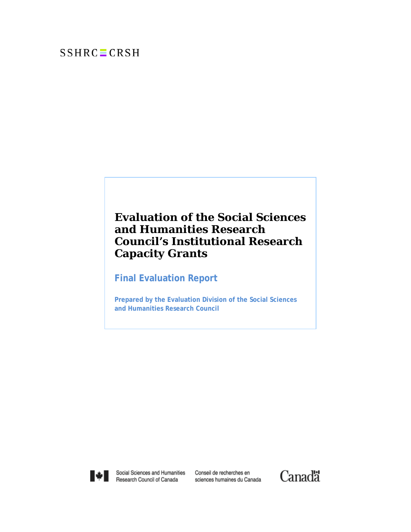# $SSHRC = CRSH$

# **Evaluation of the Social Sciences and Humanities Research Council's Institutional Research Capacity Grants**

**Final Evaluation Report**

**Prepared by the Evaluation Division of the Social Sciences and Humanities Research Council**



Social Sciences and Humanities Research Council of Canada

Conseil de recherches en sciences humaines du Canada

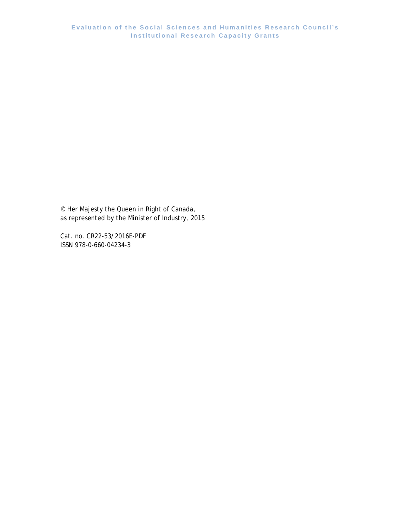© Her Majesty the Queen in Right of Canada, as represented by the Minister of Industry, 2015

Cat. no. CR22-53/2016E-PDF ISSN 978-0-660-04234-3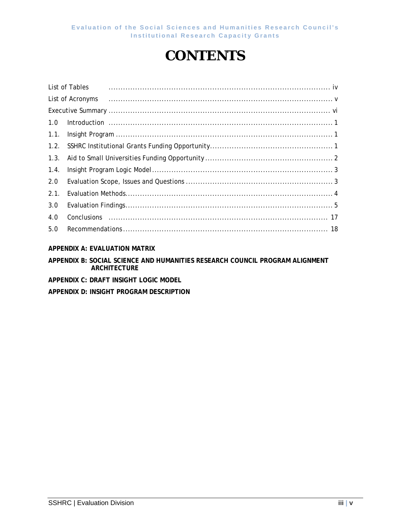# **CONTENTS**

|      | List of Tables |
|------|----------------|
|      |                |
|      |                |
| 1.0  |                |
| 1.1. |                |
| 1.2. |                |
| 1.3. |                |
| 1.4. |                |
| 2.0  |                |
| 2.1. |                |
| 3.0  |                |
| 4.0  |                |
| 5.0  |                |
|      |                |

### **APPENDIX A: EVALUATION MATRIX**

#### **APPENDIX B: SOCIAL SCIENCE AND HUMANITIES RESEARCH COUNCIL PROGRAM ALIGNMENT ARCHITECTURE**

- **APPENDIX C: DRAFT INSIGHT LOGIC MODEL**
- **APPENDIX D: INSIGHT PROGRAM DESCRIPTION**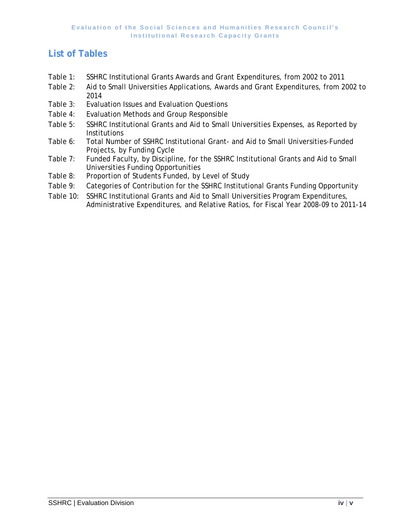## <span id="page-3-0"></span>**List of Tables**

- Table 1: SSHRC Institutional Grants Awards and Grant Expenditures, from 2002 to 2011
- Table 2: Aid to Small Universities Applications, Awards and Grant Expenditures, from 2002 to 2014
- Table 3: Evaluation Issues and Evaluation Questions
- Table 4: Evaluation Methods and Group Responsible
- Table 5: SSHRC Institutional Grants and Aid to Small Universities Expenses, as Reported by **Institutions**
- Table 6: Total Number of SSHRC Institutional Grant- and Aid to Small Universities-Funded Projects, by Funding Cycle
- Table 7: Funded Faculty, by Discipline, for the SSHRC Institutional Grants and Aid to Small Universities Funding Opportunities
- Table 8: Proportion of Students Funded, by Level of Study
- Table 9: Categories of Contribution for the SSHRC Institutional Grants Funding Opportunity
- <span id="page-3-1"></span>Table 10: SSHRC Institutional Grants and Aid to Small Universities Program Expenditures, Administrative Expenditures, and Relative Ratios, for Fiscal Year 2008-09 to 2011-14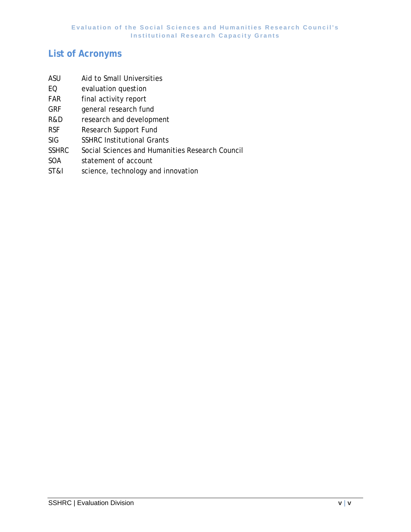## <span id="page-4-0"></span>**List of Acronyms**

- ASU Aid to Small Universities
- EQ evaluation question
- FAR final activity report
- GRF general research fund
- R&D research and development
- RSF Research Support Fund
- SIG SSHRC Institutional Grants
- SSHRC Social Sciences and Humanities Research Council
- SOA statement of account
- ST&I science, technology and innovation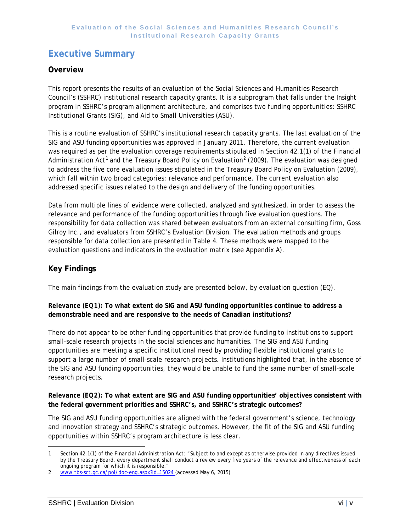## <span id="page-5-0"></span>**Executive Summary**

### **Overview**

This report presents the results of an evaluation of the Social Sciences and Humanities Research Council's (SSHRC) institutional research capacity grants. It is a subprogram that falls under the Insight program in SSHRC's program alignment architecture, and comprises two funding opportunities: SSHRC Institutional Grants (SIG), and Aid to Small Universities (ASU).

This is a routine evaluation of SSHRC's institutional research capacity grants. The last evaluation of the SIG and ASU funding opportunities was approved in January 2011. Therefore, the current evaluation was required as per the evaluation coverage requirements stipulated in Section 42.1(1) of the *Financial Administration Act*[1](#page-3-1) and the Treasury Board *Policy on Evaluation[2](#page-5-1)* (2009). The evaluation was designed to address the five core evaluation issues stipulated in the Treasury Board *Policy on Evaluation (*2009), which fall within two broad categories: relevance and performance. The current evaluation also addressed specific issues related to the design and delivery of the funding opportunities.

Data from multiple lines of evidence were collected, analyzed and synthesized, in order to assess the relevance and performance of the funding opportunities through five evaluation questions. The responsibility for data collection was shared between evaluators from an external consulting firm, Goss Gilroy Inc., and evaluators from SSHRC's Evaluation Division. The evaluation methods and groups responsible for data collection are presented in Table 4. These methods were mapped to the evaluation questions and indicators in the evaluation matrix (see Appendix A).

## **Key Findings**

The main findings from the evaluation study are presented below, by evaluation question (EQ).

#### *Relevance (EQ1):* **To what extent do SIG and ASU funding opportunities continue to address a demonstrable need and are responsive to the needs of Canadian institutions?**

There do not appear to be other funding opportunities that provide funding to institutions to support small-scale research projects in the social sciences and humanities. The SIG and ASU funding opportunities are meeting a specific institutional need by providing flexible institutional grants to support a large number of small-scale research projects. Institutions highlighted that, in the absence of the SIG and ASU funding opportunities, they would be unable to fund the same number of small-scale research projects.

*Relevance (EQ2):* **To what extent are SIG and ASU funding opportunities' objectives consistent with the federal government priorities and SSHRC's, and SSHRC's strategic outcomes?**

The SIG and ASU funding opportunities are aligned with the federal government's science, technology and innovation strategy and SSHRC's strategic outcomes. However, the fit of the SIG and ASU funding opportunities within SSHRC's program architecture is less clear.

l

<span id="page-5-2"></span><sup>1</sup> Section 42.1(1) of the *Financial Administration Act*: "Subject to and except as otherwise provided in any directives issued by the Treasury Board, every department shall conduct a review every five years of the relevance and effectiveness of each ongoing program for which it is responsible."

<span id="page-5-1"></span><sup>2</sup> www.tbs-sct.gc.ca/pol/doc-eng.aspx?id=15024 (accessed May 6, 2015)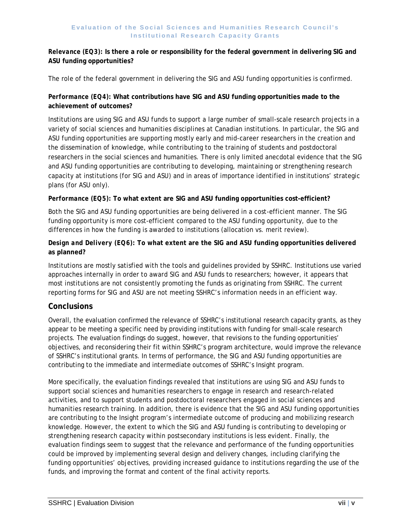#### *Relevance (EQ3):* **Is there a role or responsibility for the federal government in delivering SIG and ASU funding opportunities?**

The role of the federal government in delivering the SIG and ASU funding opportunities is confirmed.

#### *Performance (EQ4):* **What contributions have SIG and ASU funding opportunities made to the achievement of outcomes?**

Institutions are using SIG and ASU funds to support a large number of small-scale research projects in a variety of social sciences and humanities disciplines at Canadian institutions. In particular, the SIG and ASU funding opportunities are supporting mostly early and mid-career researchers in the creation and the dissemination of knowledge, while contributing to the training of students and postdoctoral researchers in the social sciences and humanities. There is only limited anecdotal evidence that the SIG and ASU funding opportunities are contributing to developing, maintaining or strengthening research capacity at institutions (for SIG and ASU) and in areas of importance identified in institutions' strategic plans (for ASU only).

#### *Performance (EQ5):* **To what extent are SIG and ASU funding opportunities cost-efficient?**

Both the SIG and ASU funding opportunities are being delivered in a cost-efficient manner. The SIG funding opportunity is more cost-efficient compared to the ASU funding opportunity, due to the differences in how the funding is awarded to institutions (allocation vs. merit review).

#### *Design and Delivery (EQ6):* **To what extent are the SIG and ASU funding opportunities delivered as planned?**

Institutions are mostly satisfied with the tools and guidelines provided by SSHRC. Institutions use varied approaches internally in order to award SIG and ASU funds to researchers; however, it appears that most institutions are not consistently promoting the funds as originating from SSHRC. The current reporting forms for SIG and ASU are not meeting SSHRC's information needs in an efficient way.

### **Conclusions**

Overall, the evaluation confirmed the relevance of SSHRC's institutional research capacity grants, as they appear to be meeting a specific need by providing institutions with funding for small-scale research projects. The evaluation findings do suggest, however, that revisions to the funding opportunities' objectives, and reconsidering their fit within SSHRC's program architecture, would improve the relevance of SSHRC's institutional grants. In terms of performance, the SIG and ASU funding opportunities are contributing to the immediate and intermediate outcomes of SSHRC's Insight program.

More specifically, the evaluation findings revealed that institutions are using SIG and ASU funds to support social sciences and humanities researchers to engage in research and research-related activities, and to support students and postdoctoral researchers engaged in social sciences and humanities research training. In addition, there is evidence that the SIG and ASU funding opportunities are contributing to the Insight program's intermediate outcome of producing and mobilizing research knowledge. However, the extent to which the SIG and ASU funding is contributing to developing or strengthening research capacity within postsecondary institutions is less evident. Finally, the evaluation findings seem to suggest that the relevance and performance of the funding opportunities could be improved by implementing several design and delivery changes, including clarifying the funding opportunities' objectives, providing increased guidance to institutions regarding the use of the funds, and improving the format and content of the final activity reports.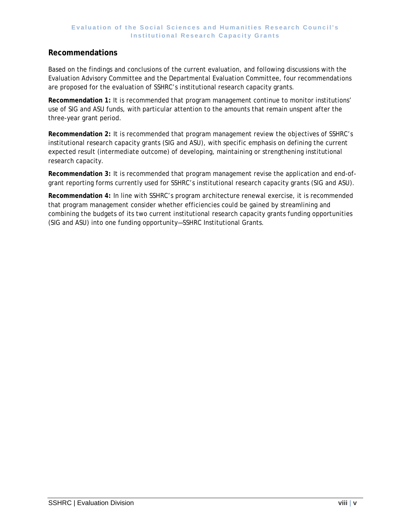### **Recommendations**

Based on the findings and conclusions of the current evaluation, and following discussions with the Evaluation Advisory Committee and the Departmental Evaluation Committee, four recommendations are proposed for the evaluation of SSHRC's institutional research capacity grants.

**Recommendation 1:** It is recommended that program management continue to monitor institutions' use of SIG and ASU funds, with particular attention to the amounts that remain unspent after the three-year grant period.

**Recommendation 2:** It is recommended that program management review the objectives of SSHRC's institutional research capacity grants (SIG and ASU), with specific emphasis on defining the current expected result (intermediate outcome) of developing, maintaining or strengthening institutional research capacity.

**Recommendation 3:** It is recommended that program management revise the application and end-ofgrant reporting forms currently used for SSHRC's institutional research capacity grants (SIG and ASU).

**Recommendation 4:** In line with SSHRC's program architecture renewal exercise, it is recommended that program management consider whether efficiencies could be gained by streamlining and combining the budgets of its two current institutional research capacity grants funding opportunities (SIG and ASU) into one funding opportunity—SSHRC Institutional Grants.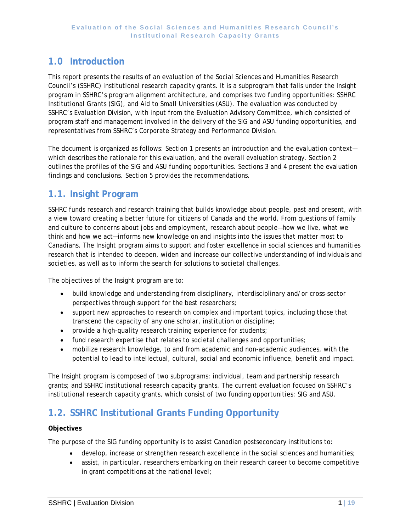## <span id="page-8-0"></span>**1.0 Introduction**

This report presents the results of an evaluation of the Social Sciences and Humanities Research Council's (SSHRC) institutional research capacity grants. It is a subprogram that falls under the Insight program in SSHRC's program alignment architecture, and comprises two funding opportunities: SSHRC Institutional Grants (SIG), and Aid to Small Universities (ASU). The evaluation was conducted by SSHRC's Evaluation Division, with input from the Evaluation Advisory Committee, which consisted of program staff and management involved in the delivery of the SIG and ASU funding opportunities, and representatives from SSHRC's Corporate Strategy and Performance Division.

The document is organized as follows: Section 1 presents an introduction and the evaluation context which describes the rationale for this evaluation, and the overall evaluation strategy. Section 2 outlines the profiles of the SIG and ASU funding opportunities. Sections 3 and 4 present the evaluation findings and conclusions. Section 5 provides the recommendations.

## <span id="page-8-1"></span>**1.1. Insight Program**

SSHRC funds research and research training that builds knowledge about people, past and present, with a view toward creating a better future for citizens of Canada and the world. From questions of family and culture to concerns about jobs and employment, research about people—how we live, what we think and how we act—informs new knowledge on and insights into the issues that matter most to Canadians. The Insight program aims to support and foster excellence in social sciences and humanities research that is intended to deepen, widen and increase our collective understanding of individuals and societies, as well as to inform the search for solutions to societal challenges.

The objectives of the Insight program are to:

- build knowledge and understanding from disciplinary, interdisciplinary and/or cross-sector perspectives through support for the best researchers;
- support new approaches to research on complex and important topics, including those that transcend the capacity of any one scholar, institution or discipline;
- provide a high-quality research training experience for students;
- fund research expertise that relates to societal challenges and opportunities;
- mobilize research knowledge, to and from academic and non-academic audiences, with the potential to lead to intellectual, cultural, social and economic influence, benefit and impact.

The Insight program is composed of two subprograms: individual, team and partnership research grants; and SSHRC institutional research capacity grants. The current evaluation focused on SSHRC's institutional research capacity grants, which consist of two funding opportunities: SIG and ASU.

## <span id="page-8-2"></span>**1.2. SSHRC Institutional Grants Funding Opportunity**

#### **Objectives**

The purpose of the SIG funding opportunity is to assist Canadian postsecondary institutions to:

- develop, increase or strengthen research excellence in the social sciences and humanities;
- assist, in particular, researchers embarking on their research career to become competitive in grant competitions at the national level;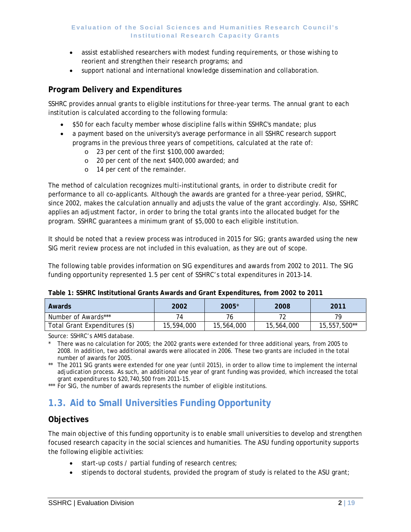- assist established researchers with modest funding requirements, or those wishing to reorient and strengthen their research programs; and
- support national and international knowledge dissemination and collaboration.

### **Program Delivery and Expenditures**

SSHRC provides annual grants to eligible institutions for three-year terms. The annual grant to each institution is calculated according to the following formula:

- \$50 for each faculty member whose discipline falls within SSHRC's mandate; plus
- a payment based on the university's average performance in all SSHRC research support programs in the previous three years of competitions, calculated at the rate of:
	- o 23 per cent of the first \$100,000 awarded;
	- o 20 per cent of the next \$400,000 awarded; and
	- o 14 per cent of the remainder.

The method of calculation recognizes multi-institutional grants, in order to distribute credit for performance to all co-applicants. Although the awards are granted for a three-year period, SSHRC, since 2002, makes the calculation annually and adjusts the value of the grant accordingly. Also, SSHRC applies an adjustment factor, in order to bring the total grants into the allocated budget for the program. SSHRC guarantees a minimum grant of \$5,000 to each eligible institution.

It should be noted that a review process was introduced in 2015 for SIG; grants awarded using the new SIG merit review process are not included in this evaluation, as they are out of scope.

The following table provides information on SIG expenditures and awards from 2002 to 2011. The SIG funding opportunity represented 1.5 per cent of SSHRC's total expenditures in 2013-14.

| Awards                        | 2002       | 2005*      | 2008       | 2011         |  |  |  |  |
|-------------------------------|------------|------------|------------|--------------|--|--|--|--|
| Number of Awards***           |            |            |            | 79           |  |  |  |  |
| Total Grant Expenditures (\$) | 15,594,000 | 15,564,000 | 15,564,000 | 15,557,500** |  |  |  |  |

**Table 1: SSHRC Institutional Grants Awards and Grant Expenditures, from 2002 to 2011**

Source: SSHRC's AMIS database.

There was no calculation for 2005; the 2002 grants were extended for three additional years, from 2005 to 2008. In addition, two additional awards were allocated in 2006. These two grants are included in the total number of awards for 2005.

\*\* The 2011 SIG grants were extended for one year (until 2015), in order to allow time to implement the internal adjudication process. As such, an additional one year of grant funding was provided, which increased the total grant expenditures to \$20,740,500 from 2011-15.

<span id="page-9-0"></span>\*\*\* For SIG, the number of awards represents the number of eligible institutions.

## **1.3. Aid to Small Universities Funding Opportunity**

### **Objectives**

The main objective of this funding opportunity is to enable small universities to develop and strengthen focused research capacity in the social sciences and humanities. The ASU funding opportunity supports the following eligible activities:

- start-up costs / partial funding of research centres;
- stipends to doctoral students, provided the program of study is related to the ASU grant;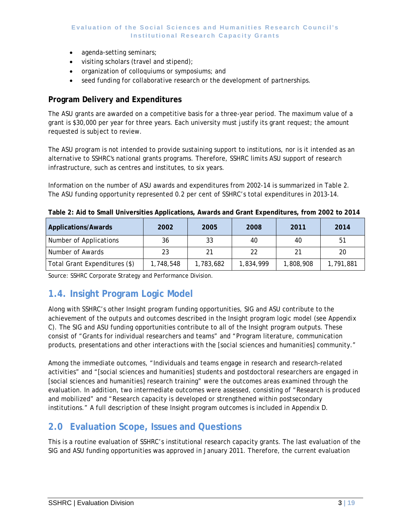- agenda-setting seminars;
- visiting scholars (travel and stipend);
- organization of colloquiums or symposiums; and
- seed funding for collaborative research or the development of partnerships.

### **Program Delivery and Expenditures**

The ASU grants are awarded on a competitive basis for a three-year period. The maximum value of a grant is \$30,000 per year for three years. Each university must justify its grant request; the amount requested is subject to review.

The ASU program is not intended to provide sustaining support to institutions, nor is it intended as an alternative to SSHRC's national grants programs. Therefore, SSHRC limits ASU support of research infrastructure, such as centres and institutes, to six years.

Information on the number of ASU awards and expenditures from 2002-14 is summarized in Table 2. The ASU funding opportunity represented 0.2 per cent of SSHRC's total expenditures in 2013-14.

| <b>Applications/Awards</b>    | 2002      | 2005      | 2008      | 2011      | 2014      |
|-------------------------------|-----------|-----------|-----------|-----------|-----------|
| Number of Applications        | 36        | 33        | 40        | 40        | 51        |
| Number of Awards              | 23        | 21        | 22        |           | 20        |
| Total Grant Expenditures (\$) | 1,748,548 | 1,783,682 | 1,834,999 | 1,808,908 | 1,791,881 |

**Table 2: Aid to Small Universities Applications, Awards and Grant Expenditures, from 2002 to 2014**

Source: SSHRC Corporate Strategy and Performance Division.

## <span id="page-10-0"></span>**1.4. Insight Program Logic Model**

Along with SSHRC's other Insight program funding opportunities, SIG and ASU contribute to the achievement of the outputs and outcomes described in the Insight program logic model (see Appendix C). The SIG and ASU funding opportunities contribute to all of the Insight program outputs. These consist of "Grants for individual researchers and teams" and "Program literature, communication products, presentations and other interactions with the [social sciences and humanities] community."

Among the immediate outcomes, "Individuals and teams engage in research and research-related activities" and "[social sciences and humanities] students and postdoctoral researchers are engaged in [social sciences and humanities] research training" were the outcomes areas examined through the evaluation. In addition, two intermediate outcomes were assessed, consisting of "Research is produced and mobilized" and "Research capacity is developed or strengthened within postsecondary institutions." A full description of these Insight program outcomes is included in Appendix D.

## <span id="page-10-1"></span>**2.0 Evaluation Scope, Issues and Questions**

This is a routine evaluation of SSHRC's institutional research capacity grants. The last evaluation of the SIG and ASU funding opportunities was approved in January 2011. Therefore, the current evaluation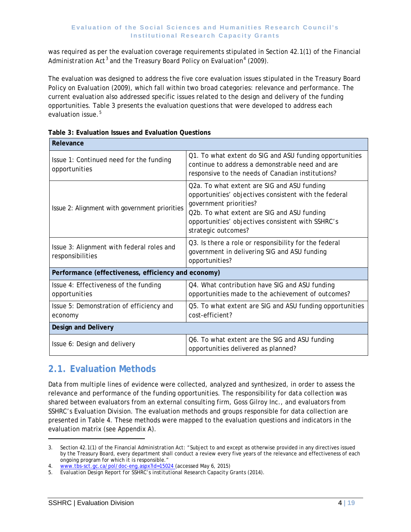was required as per the evaluation coverage requirements stipulated in Section 42.1(1) of the *Financial Administration Act*[3](#page-5-2) and the Treasury Board *Policy on Evaluation[4](#page-11-1)* (2009).

The evaluation was designed to address the five core evaluation issues stipulated in the Treasury Board *Policy on Evaluation (*2009), which fall within two broad categories: relevance and performance. The current evaluation also addressed specific issues related to the design and delivery of the funding opportunities. Table 3 presents the evaluation questions that were developed to address each evaluation issue.<sup>[5](#page-11-2)</sup>

| Relevance                                                     |                                                                                                                                                                                                                                                           |  |  |  |  |  |  |
|---------------------------------------------------------------|-----------------------------------------------------------------------------------------------------------------------------------------------------------------------------------------------------------------------------------------------------------|--|--|--|--|--|--|
| Issue 1: Continued need for the funding<br>opportunities      | Q1. To what extent do SIG and ASU funding opportunities<br>continue to address a demonstrable need and are<br>responsive to the needs of Canadian institutions?                                                                                           |  |  |  |  |  |  |
| Issue 2: Alignment with government priorities                 | Q2a. To what extent are SIG and ASU funding<br>opportunities' objectives consistent with the federal<br>government priorities?<br>Q2b. To what extent are SIG and ASU funding<br>opportunities' objectives consistent with SSHRC's<br>strategic outcomes? |  |  |  |  |  |  |
| Issue 3: Alignment with federal roles and<br>responsibilities | Q3. Is there a role or responsibility for the federal<br>government in delivering SIG and ASU funding<br>opportunities?                                                                                                                                   |  |  |  |  |  |  |
| Performance (effectiveness, efficiency and economy)           |                                                                                                                                                                                                                                                           |  |  |  |  |  |  |
| Issue 4: Effectiveness of the funding<br>opportunities        | Q4. What contribution have SIG and ASU funding<br>opportunities made to the achievement of outcomes?                                                                                                                                                      |  |  |  |  |  |  |
| Issue 5: Demonstration of efficiency and<br>economy           | Q5. To what extent are SIG and ASU funding opportunities<br>cost-efficient?                                                                                                                                                                               |  |  |  |  |  |  |
| <b>Design and Delivery</b>                                    |                                                                                                                                                                                                                                                           |  |  |  |  |  |  |
| Issue 6: Design and delivery                                  | Q6. To what extent are the SIG and ASU funding<br>opportunities delivered as planned?                                                                                                                                                                     |  |  |  |  |  |  |

| Table 3: Evaluation Issues and Evaluation Questions |  |  |
|-----------------------------------------------------|--|--|

## <span id="page-11-0"></span>**2.1. Evaluation Methods**

Data from multiple lines of evidence were collected, analyzed and synthesized, in order to assess the relevance and performance of the funding opportunities. The responsibility for data collection was shared between evaluators from an external consulting firm, Goss Gilroy Inc., and evaluators from SSHRC's Evaluation Division. The evaluation methods and groups responsible for data collection are presented in Table 4. These methods were mapped to the evaluation questions and indicators in the evaluation matrix (see Appendix A).

l

<sup>3.</sup> Section 42.1(1) of the *Financial Administration Act*: "Subject to and except as otherwise provided in any directives issued by the Treasury Board, every department shall conduct a review every five years of the relevance and effectiveness of each ongoing program for which it is responsible."

<span id="page-11-1"></span><sup>4.</sup> www.tbs-sct.gc.ca/pol/doc-eng.aspx?id=15024 (accessed May 6, 2015)

<span id="page-11-2"></span><sup>5.</sup> *Evaluation Design Report for SSHRC's institutional Research Capacity Grants* (2014).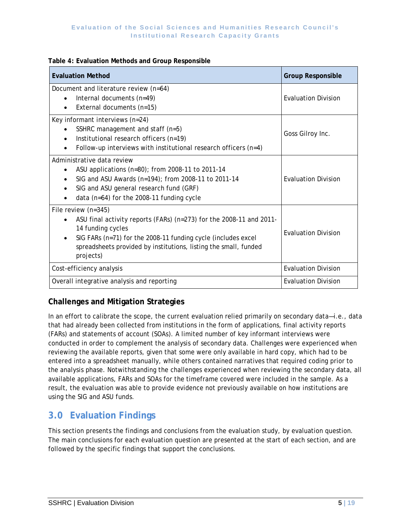#### **Table 4: Evaluation Methods and Group Responsible**

| <b>Evaluation Method</b>                                                                                                                                                                                                                                          | <b>Group Responsible</b>   |
|-------------------------------------------------------------------------------------------------------------------------------------------------------------------------------------------------------------------------------------------------------------------|----------------------------|
| Document and literature review (n=64)<br>Internal documents $(n=49)$<br>$\bullet$<br>External documents (n=15)                                                                                                                                                    | <b>Evaluation Division</b> |
| Key informant interviews (n=24)<br>SSHRC management and staff (n=5)<br>Institutional research officers (n=19)<br>$\bullet$<br>Follow-up interviews with institutional research officers $(n=4)$                                                                   | Goss Gilroy Inc.           |
| Administrative data review<br>ASU applications (n=80); from 2008-11 to 2011-14<br>$\bullet$<br>SIG and ASU Awards (n=194); from 2008-11 to 2011-14<br>SIG and ASU general research fund (GRF)<br>٠<br>data ( $n=64$ ) for the 2008-11 funding cycle               | <b>Evaluation Division</b> |
| File review (n=345)<br>ASU final activity reports (FARs) (n=273) for the 2008-11 and 2011-<br>14 funding cycles<br>SIG FARs (n=71) for the 2008-11 funding cycle (includes excel<br>spreadsheets provided by institutions, listing the small, funded<br>projects) | <b>Evaluation Division</b> |
| Cost-efficiency analysis                                                                                                                                                                                                                                          | <b>Evaluation Division</b> |
| Overall integrative analysis and reporting                                                                                                                                                                                                                        | <b>Evaluation Division</b> |

### **Challenges and Mitigation Strategies**

In an effort to calibrate the scope, the current evaluation relied primarily on secondary data—i.e., data that had already been collected from institutions in the form of applications, final activity reports (FARs) and statements of account (SOAs). A limited number of key informant interviews were conducted in order to complement the analysis of secondary data. Challenges were experienced when reviewing the available reports, given that some were only available in hard copy, which had to be entered into a spreadsheet manually, while others contained narratives that required coding prior to the analysis phase. Notwithstanding the challenges experienced when reviewing the secondary data, all available applications, FARs and SOAs for the timeframe covered were included in the sample. As a result, the evaluation was able to provide evidence not previously available on how institutions are using the SIG and ASU funds.

## <span id="page-12-0"></span>**3.0 Evaluation Findings**

This section presents the findings and conclusions from the evaluation study, by evaluation question. The main conclusions for each evaluation question are presented at the start of each section, and are followed by the specific findings that support the conclusions.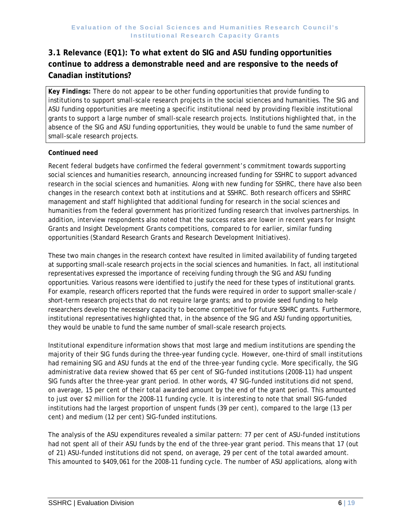## **3.1 Relevance (EQ1): To what extent do SIG and ASU funding opportunities continue to address a demonstrable need and are responsive to the needs of Canadian institutions?**

*Key Findings:* There do not appear to be other funding opportunities that provide funding to institutions to support small-scale research projects in the social sciences and humanities. The SIG and ASU funding opportunities are meeting a specific institutional need by providing flexible institutional grants to support a large number of small-scale research projects. Institutions highlighted that, in the absence of the SIG and ASU funding opportunities, they would be unable to fund the same number of small-scale research projects.

#### **Continued need**

Recent federal budgets have confirmed the federal government's commitment towards supporting social sciences and humanities research, announcing increased funding for SSHRC to support advanced research in the social sciences and humanities. Along with new funding for SSHRC, there have also been changes in the research context both at institutions and at SSHRC. Both research officers and SSHRC management and staff highlighted that additional funding for research in the social sciences and humanities from the federal government has prioritized funding research that involves partnerships. In addition, interview respondents also noted that the success rates are lower in recent years for Insight Grants and Insight Development Grants competitions, compared to for earlier, similar funding opportunities (Standard Research Grants and Research Development Initiatives).

These two main changes in the research context have resulted in limited availability of funding targeted at supporting small-scale research projects in the social sciences and humanities. In fact, all institutional representatives expressed the importance of receiving funding through the SIG and ASU funding opportunities. Various reasons were identified to justify the need for these types of institutional grants. For example, research officers reported that the funds were required in order to support smaller-scale / short-term research projects that do not require large grants; and to provide seed funding to help researchers develop the necessary capacity to become competitive for future SSHRC grants. Furthermore, institutional representatives highlighted that, in the absence of the SIG and ASU funding opportunities, they would be unable to fund the same number of small-scale research projects.

Institutional expenditure information shows that most large and medium institutions are spending the majority of their SIG funds during the three-year funding cycle. However, one-third of small institutions had remaining SIG and ASU funds at the end of the three-year funding cycle. More specifically, the SIG administrative data review showed that 65 per cent of SIG-funded institutions (2008-11) had unspent SIG funds after the three-year grant period. In other words, 47 SIG-funded institutions did not spend, on average, 15 per cent of their total awarded amount by the end of the grant period. This amounted to just over \$2 million for the 2008-11 funding cycle. It is interesting to note that small SIG-funded institutions had the largest proportion of unspent funds (39 per cent), compared to the large (13 per cent) and medium (12 per cent) SIG-funded institutions.

The analysis of the ASU expenditures revealed a similar pattern: 77 per cent of ASU-funded institutions had not spent all of their ASU funds by the end of the three-year grant period. This means that 17 (out of 21) ASU-funded institutions did not spend, on average, 29 per cent of the total awarded amount. This amounted to \$409,061 for the 2008-11 funding cycle. The number of ASU applications, along with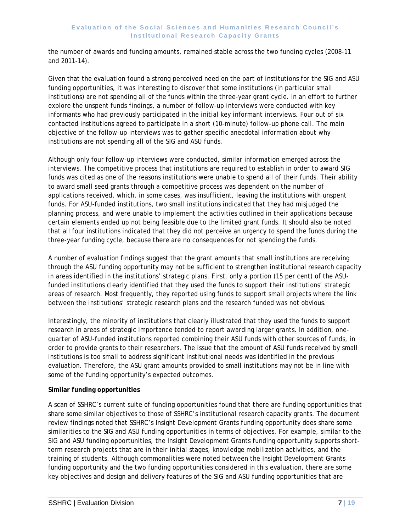the number of awards and funding amounts, remained stable across the two funding cycles (2008-11 and 2011-14).

Given that the evaluation found a strong perceived need on the part of institutions for the SIG and ASU funding opportunities, it was interesting to discover that some institutions (in particular small institutions) are not spending all of the funds within the three-year grant cycle. In an effort to further explore the unspent funds findings, a number of follow-up interviews were conducted with key informants who had previously participated in the initial key informant interviews. Four out of six contacted institutions agreed to participate in a short (10-minute) follow-up phone call. The main objective of the follow-up interviews was to gather specific anecdotal information about why institutions are not spending all of the SIG and ASU funds.

Although only four follow-up interviews were conducted, similar information emerged across the interviews. The competitive process that institutions are required to establish in order to award SIG funds was cited as one of the reasons institutions were unable to spend all of their funds. Their ability to award small seed grants through a competitive process was dependent on the number of applications received, which, in some cases, was insufficient, leaving the institutions with unspent funds. For ASU-funded institutions, two small institutions indicated that they had misjudged the planning process, and were unable to implement the activities outlined in their applications because certain elements ended up not being feasible due to the limited grant funds. It should also be noted that all four institutions indicated that they did not perceive an urgency to spend the funds during the three-year funding cycle, because there are no consequences for not spending the funds.

A number of evaluation findings suggest that the grant amounts that small institutions are receiving through the ASU funding opportunity may not be sufficient to strengthen institutional research capacity in areas identified in the institutions' strategic plans. First, only a portion (15 per cent) of the ASUfunded institutions clearly identified that they used the funds to support their institutions' strategic areas of research. Most frequently, they reported using funds to support small projects where the link between the institutions' strategic research plans and the research funded was not obvious.

Interestingly, the minority of institutions that clearly illustrated that they used the funds to support research in areas of strategic importance tended to report awarding larger grants. In addition, onequarter of ASU-funded institutions reported combining their ASU funds with other sources of funds, in order to provide grants to their researchers. The issue that the amount of ASU funds received by small institutions is too small to address significant institutional needs was identified in the previous evaluation. Therefore, the ASU grant amounts provided to small institutions may not be in line with some of the funding opportunity's expected outcomes.

#### **Similar funding opportunities**

A scan of SSHRC's current suite of funding opportunities found that there are funding opportunities that share some similar objectives to those of SSHRC's institutional research capacity grants. The document review findings noted that SSHRC's Insight Development Grants funding opportunity does share some similarities to the SIG and ASU funding opportunities in terms of objectives. For example, similar to the SIG and ASU funding opportunities, the Insight Development Grants funding opportunity supports shortterm research projects that are in their initial stages, knowledge mobilization activities, and the training of students. Although commonalities were noted between the Insight Development Grants funding opportunity and the two funding opportunities considered in this evaluation, there are some key objectives and design and delivery features of the SIG and ASU funding opportunities that are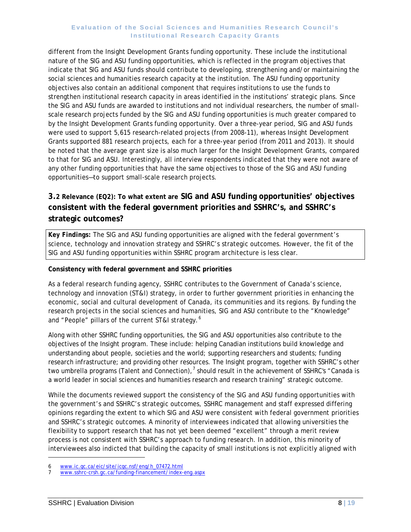different from the Insight Development Grants funding opportunity. These include the institutional nature of the SIG and ASU funding opportunities, which is reflected in the program objectives that indicate that SIG and ASU funds should contribute to developing, strengthening and/or maintaining the social sciences and humanities research capacity at the institution. The ASU funding opportunity objectives also contain an additional component that requires institutions to use the funds to strengthen institutional research capacity in areas identified in the institutions' strategic plans. Since the SIG and ASU funds are awarded to institutions and not individual researchers, the number of smallscale research projects funded by the SIG and ASU funding opportunities is much greater compared to by the Insight Development Grants funding opportunity. Over a three-year period, SIG and ASU funds were used to support 5,615 research-related projects (from 2008-11), whereas Insight Development Grants supported 881 research projects, each for a three-year period (from 2011 and 2013). It should be noted that the average grant size is also much larger for the Insight Development Grants, compared to that for SIG and ASU. Interestingly, all interview respondents indicated that they were not aware of any other funding opportunities that have the same objectives to those of the SIG and ASU funding opportunities—to support small-scale research projects.

## **3.2 Relevance (EQ2): To what extent are SIG and ASU funding opportunities' objectives consistent with the federal government priorities and SSHRC's, and SSHRC's strategic outcomes?**

*Key Findings:* The SIG and ASU funding opportunities are aligned with the federal government's science, technology and innovation strategy and SSHRC's strategic outcomes. However, the fit of the SIG and ASU funding opportunities within SSHRC program architecture is less clear.

#### **Consistency with federal government and SSHRC priorities**

As a federal research funding agency, SSHRC contributes to the Government of Canada's science, technology and innovation (ST&I) strategy, in order to further government priorities in enhancing the economic, social and cultural development of Canada, its communities and its regions. By funding the research projects in the social sciences and humanities, SIG and ASU contribute to the "Knowledge" and "People" pillars of the current ST&I strategy.<sup>[6](#page-11-1)</sup>

Along with other SSHRC funding opportunities, the SIG and ASU opportunities also contribute to the objectives of the Insight program. These include: helping Canadian institutions build knowledge and understanding about people, societies and the world; supporting researchers and students; funding research infrastructure; and providing other resources. The Insight program, together with SSHRC's other two umbrella programs (Talent and Connection),<sup>[7](#page-15-0)</sup> should result in the achievement of SSHRC's "Canada is a world leader in social sciences and humanities research and research training" strategic outcome.

While the documents reviewed support the consistency of the SIG and ASU funding opportunities with the government's and SSHRC's strategic outcomes, SSHRC management and staff expressed differing opinions regarding the extent to which SIG and ASU were consistent with federal government priorities and SSHRC's strategic outcomes. A minority of interviewees indicated that allowing universities the flexibility to support research that has not yet been deemed "excellent" through a merit review process is not consistent with SSHRC's approach to funding research. In addition, this minority of interviewees also indicted that building the capacity of small institutions is not explicitly aligned with

l

<span id="page-15-1"></span><span id="page-15-0"></span>[www.ic.gc.ca/eic/site/icgc.nsf/eng/h\\_07472.html](http://www.ic.gc.ca/eic/site/icgc.nsf/eng/h_07472.html)

<sup>7</sup> [www.sshrc-crsh.gc.ca/funding-financement/index-eng.aspx](http://www.sshrc-crsh.gc.ca/funding-financement/index-eng.aspx)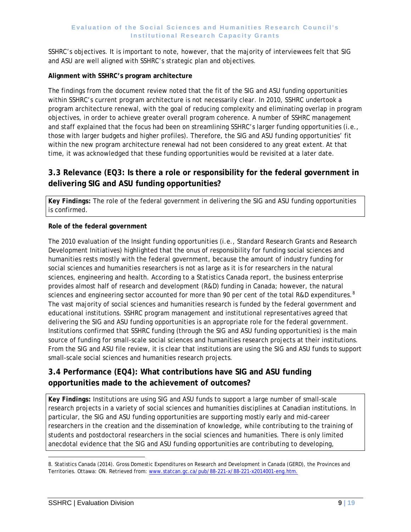SSHRC's objectives. It is important to note, however, that the majority of interviewees felt that SIG and ASU are well aligned with SSHRC's strategic plan and objectives.

#### **Alignment with SSHRC's program architecture**

The findings from the document review noted that the fit of the SIG and ASU funding opportunities within SSHRC's current program architecture is not necessarily clear. In 2010, SSHRC undertook a program architecture renewal, with the goal of reducing complexity and eliminating overlap in program objectives, in order to achieve greater overall program coherence. A number of SSHRC management and staff explained that the focus had been on streamlining SSHRC's larger funding opportunities (i.e., those with larger budgets and higher profiles). Therefore, the SIG and ASU funding opportunities' fit within the new program architecture renewal had not been considered to any great extent. At that time, it was acknowledged that these funding opportunities would be revisited at a later date.

### **3.3 Relevance (EQ3: Is there a role or responsibility for the federal government in delivering SIG and ASU funding opportunities?**

*Key Findings:* The role of the federal government in delivering the SIG and ASU funding opportunities is confirmed.

#### **Role of the federal government**

The 2010 evaluation of the Insight funding opportunities (i.e., Standard Research Grants and Research Development Initiatives) highlighted that the onus of responsibility for funding social sciences and humanities rests mostly with the federal government, because the amount of industry funding for social sciences and humanities researchers is not as large as it is for researchers in the natural sciences, engineering and health. According to a Statistics Canada report, the business enterprise provides almost half of research and development (R&D) funding in Canada; however, the natural sciences and engineering sector accounted for more than 90 per cent of the total R&D expenditures.  $^8$  $^8$ The vast majority of social sciences and humanities research is funded by the federal government and educational institutions. SSHRC program management and institutional representatives agreed that delivering the SIG and ASU funding opportunities is an appropriate role for the federal government. Institutions confirmed that SSHRC funding (through the SIG and ASU funding opportunities) is the main source of funding for small-scale social sciences and humanities research projects at their institutions. From the SIG and ASU file review, it is clear that institutions are using the SIG and ASU funds to support small-scale social sciences and humanities research projects.

### **3.4 Performance (EQ4): What contributions have SIG and ASU funding opportunities made to the achievement of outcomes?**

*Key Findings:* Institutions are using SIG and ASU funds to support a large number of small-scale research projects in a variety of social sciences and humanities disciplines at Canadian institutions. In particular, the SIG and ASU funding opportunities are supporting mostly early and mid-career researchers in the creation and the dissemination of knowledge, while contributing to the training of students and postdoctoral researchers in the social sciences and humanities. There is only limited anecdotal evidence that the SIG and ASU funding opportunities are contributing to developing,

l

<span id="page-16-0"></span><sup>8.</sup> Statistics Canada (2014). Gross Domestic Expenditures on Research and Development in Canada (GERD), the Provinces and Territories. Ottawa: ON. Retrieved from: www.statcan.gc.ca/pub/88-221-x/88-221-x2014001-eng.htm.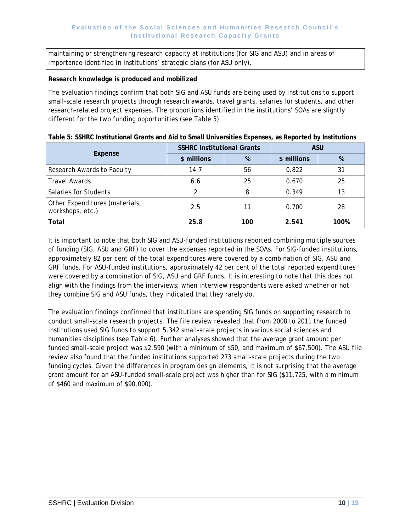maintaining or strengthening research capacity at institutions (for SIG and ASU) and in areas of importance identified in institutions' strategic plans (for ASU only).

#### **Research knowledge is produced and mobilized**

The evaluation findings confirm that both SIG and ASU funds are being used by institutions to support small-scale research projects through research awards, travel grants, salaries for students, and other research-related project expenses. The proportions identified in the institutions' SOAs are slightly different for the two funding opportunities (see Table 5).

|                                                    | <b>SSHRC Institutional Grants</b> |     | <b>ASU</b>  |      |  |
|----------------------------------------------------|-----------------------------------|-----|-------------|------|--|
| Expense                                            | \$ millions                       | %   | \$ millions | %    |  |
| Research Awards to Faculty                         | 14.7                              | 56  | 0.822       |      |  |
| <b>Travel Awards</b>                               | 6.6                               | 25  | 0.670       | 25   |  |
| Salaries for Students                              |                                   | 8   | 0.349       | 13   |  |
| Other Expenditures (materials,<br>workshops, etc.) | 2.5                               | 11  | 0.700       | 28   |  |
| Total                                              | 25.8                              | 100 | 2.541       | 100% |  |

#### **Table 5: SSHRC Institutional Grants and Aid to Small Universities Expenses, as Reported by Institutions**

It is important to note that both SIG and ASU-funded institutions reported combining multiple sources of funding (SIG, ASU and GRF) to cover the expenses reported in the SOAs. For SIG-funded institutions, approximately 82 per cent of the total expenditures were covered by a combination of SIG, ASU and GRF funds. For ASU-funded institutions, approximately 42 per cent of the total reported expenditures were covered by a combination of SIG, ASU and GRF funds. It is interesting to note that this does not align with the findings from the interviews; when interview respondents were asked whether or not they combine SIG and ASU funds, they indicated that they rarely do.

The evaluation findings confirmed that institutions are spending SIG funds on supporting research to conduct small-scale research projects. The file review revealed that from 2008 to 2011 the funded institutions used SIG funds to support 5,342 small-scale projects in various social sciences and humanities disciplines (see Table 6). Further analyses showed that the average grant amount per funded small-scale project was \$2,590 (with a minimum of \$50, and maximum of \$67,500). The ASU file review also found that the funded institutions supported 273 small-scale projects during the two funding cycles. Given the differences in program design elements, it is not surprising that the average grant amount for an ASU-funded small-scale project was higher than for SIG (\$11,725, with a minimum of \$460 and maximum of \$90,000).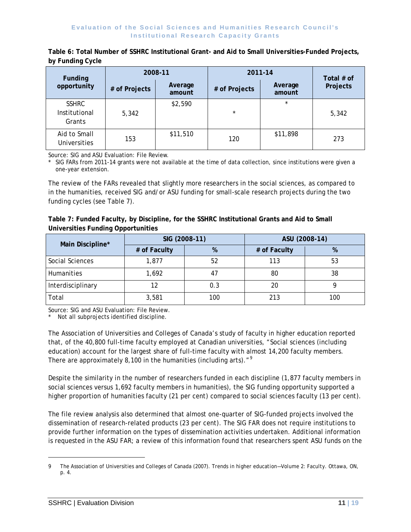| Funding                                 |                                    | 2008-11  | 2011-14       | Total $#$ of      |          |
|-----------------------------------------|------------------------------------|----------|---------------|-------------------|----------|
| opportunity                             | Average<br># of Projects<br>amount |          | # of Projects | Average<br>amount | Projects |
| <b>SSHRC</b><br>Institutional<br>Grants | 5,342                              | \$2,590  | $\star$       | $\star$           | 5,342    |
| Aid to Small<br><b>Universities</b>     | 153                                | \$11,510 | 120           | \$11,898          | 273      |

**Table 6: Total Number of SSHRC Institutional Grant- and Aid to Small Universities-Funded Projects, by Funding Cycle**

Source: SIG and ASU Evaluation: File Review.

\* SIG FARs from 2011-14 grants were not available at the time of data collection, since institutions were given a one-year extension.

The review of the FARs revealed that slightly more researchers in the social sciences, as compared to in the humanities, received SIG and/or ASU funding for small-scale research projects during the two funding cycles (see Table 7).

| Table 7: Funded Faculty, by Discipline, for the SSHRC Institutional Grants and Aid to Small |  |  |  |
|---------------------------------------------------------------------------------------------|--|--|--|
| Universities Funding Opportunities                                                          |  |  |  |

| Main Discipline*  | SIG (2008-11) |     | ASU (2008-14) |     |  |
|-------------------|---------------|-----|---------------|-----|--|
|                   | # of Faculty  | %   | # of Faculty  | %   |  |
| Social Sciences   | 1,877         | 52  | 113           | 53  |  |
| Humanities        | 1,692         |     | 80            | 38  |  |
| Interdisciplinary | 12            | 0.3 | 20            |     |  |
| Total             | 3,581         | 100 | 213           | 100 |  |

Source: SIG and ASU Evaluation: File Review.

Not all subprojects identified discipline.

The Association of Universities and Colleges of Canada's study of faculty in higher education reported that, of the 40,800 full-time faculty employed at Canadian universities, "Social sciences (including education) account for the largest share of full-time faculty with almost 14,200 faculty members. There are approximately 8,100 in the humanities (including arts)."<sup>[9](#page-16-0)</sup>

Despite the similarity in the number of researchers funded in each discipline (1,877 faculty members in social sciences versus 1,692 faculty members in humanities), the SIG funding opportunity supported a higher proportion of humanities faculty (21 per cent) compared to social sciences faculty (13 per cent).

The file review analysis also determined that almost one-quarter of SIG-funded projects involved the dissemination of research-related products (23 per cent). The SIG FAR does not require institutions to provide further information on the types of dissemination activities undertaken. Additional information is requested in the ASU FAR; a review of this information found that researchers spent ASU funds on the

l

<span id="page-18-0"></span><sup>9</sup> The Association of Universities and Colleges of Canada (2007). *Trends in higher education—Volume 2: Faculty*. Ottawa, ON, p. 4.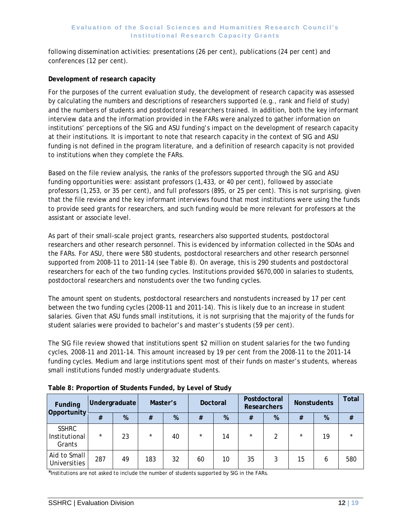following dissemination activities: presentations (26 per cent), publications (24 per cent) and conferences (12 per cent).

#### **Development of research capacity**

For the purposes of the current evaluation study, the development of research capacity was assessed by calculating the numbers and descriptions of researchers supported (e.g., rank and field of study) and the numbers of students and postdoctoral researchers trained. In addition, both the key informant interview data and the information provided in the FARs were analyzed to gather information on institutions' perceptions of the SIG and ASU funding's impact on the development of research capacity at their institutions. It is important to note that research capacity in the context of SIG and ASU funding is not defined in the program literature, and a definition of research capacity is not provided to institutions when they complete the FARs.

Based on the file review analysis, the ranks of the professors supported through the SIG and ASU funding opportunities were: assistant professors (1,433, or 40 per cent), followed by associate professors (1,253, or 35 per cent), and full professors (895, or 25 per cent). This is not surprising, given that the file review and the key informant interviews found that most institutions were using the funds to provide seed grants for researchers, and such funding would be more relevant for professors at the assistant or associate level.

As part of their small-scale project grants, researchers also supported students, postdoctoral researchers and other research personnel. This is evidenced by information collected in the SOAs and the FARs. For ASU, there were 580 students, postdoctoral researchers and other research personnel supported from 2008-11 to 2011-14 (see Table 8). On average, this is 290 students and postdoctoral researchers for each of the two funding cycles. Institutions provided \$670,000 in salaries to students, postdoctoral researchers and nonstudents over the two funding cycles.

The amount spent on students, postdoctoral researchers and nonstudents increased by 17 per cent between the two funding cycles (2008-11 and 2011-14). This is likely due to an increase in student salaries. Given that ASU funds small institutions, it is not surprising that the majority of the funds for student salaries were provided to bachelor's and master's students (59 per cent).

The SIG file review showed that institutions spent \$2 million on student salaries for the two funding cycles, 2008-11 and 2011-14. This amount increased by 19 per cent from the 2008-11 to the 2011-14 funding cycles. Medium and large institutions spent most of their funds on master's students, whereas small institutions funded mostly undergraduate students.

| Funding<br>Opportunity                  | Undergraduate |    | Master's |    | Doctoral |    | Postdoctoral<br><b>Researchers</b> |   | <b>Nonstudents</b> |    | <b>Total</b> |
|-----------------------------------------|---------------|----|----------|----|----------|----|------------------------------------|---|--------------------|----|--------------|
|                                         | #             | %  | #        | %  | #        | %  | #                                  | % | #                  | %  | #            |
| <b>SSHRC</b><br>Institutional<br>Grants | $\star$       | 23 | $\star$  | 40 | $\star$  | 14 | $\star$                            | 2 | $\star$            | 19 | $\star$      |
| Aid to Small<br>Universities            | 287           | 49 | 183      | 32 | 60       | 10 | 35                                 | 3 | 15                 | 6  | 580          |

**Table 8: Proportion of Students Funded, by Level of Study**

\*Institutions are not asked to include the number of students supported by SIG in the FARs.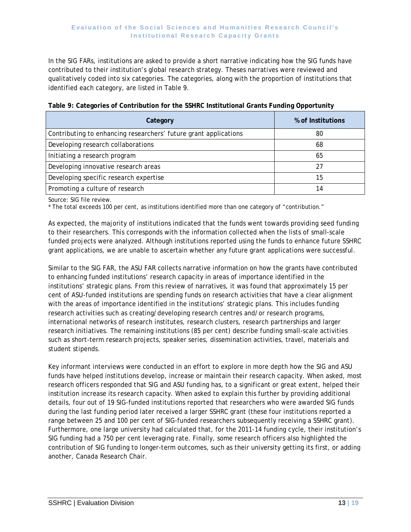In the SIG FARs, institutions are asked to provide a short narrative indicating how the SIG funds have contributed to their institution's global research strategy. Theses narratives were reviewed and qualitatively coded into six categories. The categories, along with the proportion of institutions that identified each category, are listed in Table 9.

| Category                                                         | % of Institutions |
|------------------------------------------------------------------|-------------------|
| Contributing to enhancing researchers' future grant applications | 80                |
| Developing research collaborations                               | 68                |
| Initiating a research program                                    | 65                |
| Developing innovative research areas                             | 27                |
| Developing specific research expertise                           | 15                |
| Promoting a culture of research                                  | 14                |

| Table 9: Categories of Contribution for the SSHRC Institutional Grants Funding Opportunity |  |  |  |
|--------------------------------------------------------------------------------------------|--|--|--|
|                                                                                            |  |  |  |
|                                                                                            |  |  |  |
|                                                                                            |  |  |  |

Source: SIG file review.

\* The total exceeds 100 per cent, as institutions identified more than one category of "contribution."

As expected, the majority of institutions indicated that the funds went towards providing seed funding to their researchers. This corresponds with the information collected when the lists of small-scale funded projects were analyzed. Although institutions reported using the funds to enhance future SSHRC grant applications, we are unable to ascertain whether any future grant applications were successful.

Similar to the SIG FAR, the ASU FAR collects narrative information on how the grants have contributed to enhancing funded institutions' research capacity in areas of importance identified in the institutions' strategic plans. From this review of narratives, it was found that approximately 15 per cent of ASU-funded institutions are spending funds on research activities that have a clear alignment with the areas of importance identified in the institutions' strategic plans. This includes funding research activities such as creating/developing research centres and/or research programs, international networks of research institutes, research clusters, research partnerships and larger research initiatives. The remaining institutions (85 per cent) describe funding small-scale activities such as short-term research projects, speaker series, dissemination activities, travel, materials and student stipends.

Key informant interviews were conducted in an effort to explore in more depth how the SIG and ASU funds have helped institutions develop, increase or maintain their research capacity. When asked, most research officers responded that SIG and ASU funding has, to a significant or great extent, helped their institution increase its research capacity. When asked to explain this further by providing additional details, four out of 19 SIG-funded institutions reported that researchers who were awarded SIG funds during the last funding period later received a larger SSHRC grant (these four institutions reported a range between 25 and 100 per cent of SIG-funded researchers subsequently receiving a SSHRC grant). Furthermore, one large university had calculated that, for the 2011-14 funding cycle, their institution's SIG funding had a 750 per cent leveraging rate. Finally, some research officers also highlighted the contribution of SIG funding to longer-term outcomes, such as their university getting its first, or adding another, Canada Research Chair.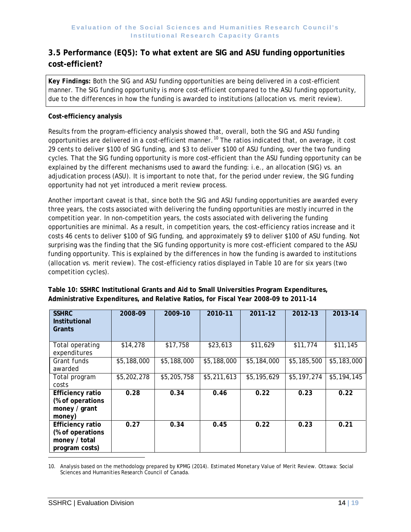### **3.5 Performance (EQ5): To what extent are SIG and ASU funding opportunities cost-efficient?**

*Key Findings:* Both the SIG and ASU funding opportunities are being delivered in a cost-efficient manner. The SIG funding opportunity is more cost-efficient compared to the ASU funding opportunity, due to the differences in how the funding is awarded to institutions (allocation vs. merit review).

#### **Cost-efficiency analysis**

Results from the program-efficiency analysis showed that, overall, both the SIG and ASU funding opportunities are delivered in a cost-efficient manner.<sup>[10](#page-18-0)</sup> The ratios indicated that, on average, it cost 29 cents to deliver \$100 of SIG funding, and \$3 to deliver \$100 of ASU funding, over the two funding cycles. That the SIG funding opportunity is more cost-efficient than the ASU funding opportunity can be explained by the different mechanisms used to award the funding: i.e., an allocation (SIG) vs. an adjudication process (ASU). It is important to note that, for the period under review, the SIG funding opportunity had not yet introduced a merit review process.

Another important caveat is that, since both the SIG and ASU funding opportunities are awarded every three years, the costs associated with delivering the funding opportunities are mostly incurred in the competition year. In non-competition years, the costs associated with delivering the funding opportunities are minimal. As a result, in competition years, the cost-efficiency ratios increase and it costs 46 cents to deliver \$100 of SIG funding, and approximately \$9 to deliver \$100 of ASU funding. Not surprising was the finding that the SIG funding opportunity is more cost-efficient compared to the ASU funding opportunity. This is explained by the differences in how the funding is awarded to institutions (allocation vs. merit review). The cost-efficiency ratios displayed in Table 10 are for six years (two competition cycles).

| <b>SSHRC</b><br><b>Institutional</b><br>Grants                                 | 2008-09     | 2009-10     | 2010-11     | 2011-12     | 2012-13     | 2013-14     |
|--------------------------------------------------------------------------------|-------------|-------------|-------------|-------------|-------------|-------------|
| Total operating<br>expenditures                                                | \$14,278    | \$17,758    | \$23,613    | \$11,629    | \$11,774    | \$11,145    |
| Grant funds<br>awarded                                                         | \$5,188,000 | \$5,188,000 | \$5,188,000 | \$5,184,000 | \$5,185,500 | \$5,183,000 |
| Total program<br>costs                                                         | \$5,202,278 | \$5,205,758 | \$5,211,613 | \$5,195,629 | \$5,197,274 | \$5,194,145 |
| <b>Efficiency ratio</b><br>(% of operations<br>money / grant<br>money)         | 0.28        | 0.34        | 0.46        | 0.22        | 0.23        | 0.22        |
| <b>Efficiency ratio</b><br>(% of operations<br>money / total<br>program costs) | 0.27        | 0.34        | 0.45        | 0.22        | 0.23        | 0.21        |

|  | Table 10: SSHRC Institutional Grants and Aid to Small Universities Program Expenditures, |
|--|------------------------------------------------------------------------------------------|
|  | Administrative Expenditures, and Relative Ratios, for Fiscal Year 2008-09 to 2011-14     |

l

<sup>10.</sup> Analysis based on the methodology prepared by KPMG (2014). *Estimated Monetary Value of Merit Review*. Ottawa: Social Sciences and Humanities Research Council of Canada.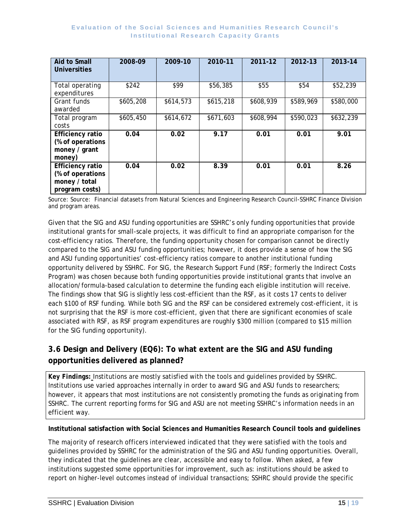| Aid to Small<br>Universities                                                   | 2008-09   | 2009-10   | 2010-11   | 2011-12   | 2012-13   | 2013-14   |
|--------------------------------------------------------------------------------|-----------|-----------|-----------|-----------|-----------|-----------|
| Total operating<br>expenditures                                                | \$242     | \$99      | \$56,385  | \$55      | \$54      | \$52,239  |
| Grant funds<br>awarded                                                         | \$605,208 | \$614,573 | \$615,218 | \$608,939 | \$589,969 | \$580,000 |
| Total program<br>costs                                                         | \$605,450 | \$614,672 | \$671,603 | \$608,994 | \$590,023 | \$632,239 |
| <b>Efficiency ratio</b><br>(% of operations<br>money / grant<br>money)         | 0.04      | 0.02      | 9.17      | 0.01      | 0.01      | 9.01      |
| <b>Efficiency ratio</b><br>(% of operations<br>money / total<br>program costs) | 0.04      | 0.02      | 8.39      | 0.01      | 0.01      | 8.26      |

Source: Source: Financial datasets from Natural Sciences and Engineering Research Council-SSHRC Finance Division and program areas.

Given that the SIG and ASU funding opportunities are SSHRC's only funding opportunities that provide institutional grants for small-scale projects, it was difficult to find an appropriate comparison for the cost-efficiency ratios. Therefore, the funding opportunity chosen for comparison cannot be directly compared to the SIG and ASU funding opportunities; however, it does provide a sense of how the SIG and ASU funding opportunities' cost-efficiency ratios compare to another institutional funding opportunity delivered by SSHRC. For SIG, the Research Support Fund (RSF; formerly the Indirect Costs Program) was chosen because both funding opportunities provide institutional grants that involve an allocation/formula-based calculation to determine the funding each eligible institution will receive. The findings show that SIG is slightly less cost-efficient than the RSF, as it costs 17 cents to deliver each \$100 of RSF funding. While both SIG and the RSF can be considered extremely cost-efficient, it is not surprising that the RSF is more cost-efficient, given that there are significant economies of scale associated with RSF, as RSF program expenditures are roughly \$300 million (compared to \$15 million for the SIG funding opportunity).

### **3.6 Design and Delivery (EQ6): To what extent are the SIG and ASU funding opportunities delivered as planned?**

*Key Findings:* Institutions are mostly satisfied with the tools and guidelines provided by SSHRC. Institutions use varied approaches internally in order to award SIG and ASU funds to researchers; however, it appears that most institutions are not consistently promoting the funds as originating from SSHRC. The current reporting forms for SIG and ASU are not meeting SSHRC's information needs in an efficient way.

#### **Institutional satisfaction with Social Sciences and Humanities Research Council tools and guidelines**

The majority of research officers interviewed indicated that they were satisfied with the tools and guidelines provided by SSHRC for the administration of the SIG and ASU funding opportunities. Overall, they indicated that the guidelines are clear, accessible and easy to follow. When asked, a few institutions suggested some opportunities for improvement, such as: institutions should be asked to report on higher-level outcomes instead of individual transactions; SSHRC should provide the specific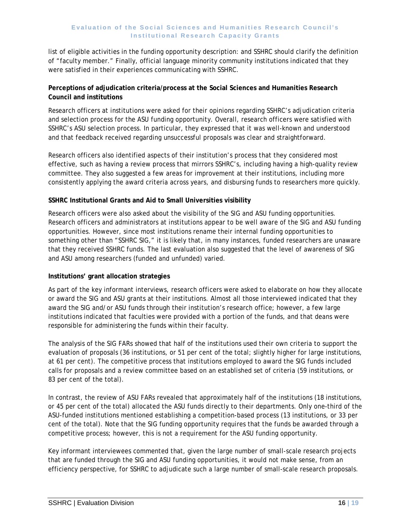list of eligible activities in the funding opportunity description: and SSHRC should clarify the definition of "faculty member." Finally, official language minority community institutions indicated that they were satisfied in their experiences communicating with SSHRC.

#### **Perceptions of adjudication criteria/process at the Social Sciences and Humanities Research Council and institutions**

Research officers at institutions were asked for their opinions regarding SSHRC's adjudication criteria and selection process for the ASU funding opportunity. Overall, research officers were satisfied with SSHRC's ASU selection process. In particular, they expressed that it was well-known and understood and that feedback received regarding unsuccessful proposals was clear and straightforward.

Research officers also identified aspects of their institution's process that they considered most effective, such as having a review process that mirrors SSHRC's, including having a high-quality review committee. They also suggested a few areas for improvement at their institutions, including more consistently applying the award criteria across years, and disbursing funds to researchers more quickly.

#### **SSHRC Institutional Grants and Aid to Small Universities visibility**

Research officers were also asked about the visibility of the SIG and ASU funding opportunities. Research officers and administrators at institutions appear to be well aware of the SIG and ASU funding opportunities. However, since most institutions rename their internal funding opportunities to something other than "SSHRC SIG," it is likely that, in many instances, funded researchers are unaware that they received SSHRC funds. The last evaluation also suggested that the level of awareness of SIG and ASU among researchers (funded and unfunded) varied.

#### **Institutions' grant allocation strategies**

As part of the key informant interviews, research officers were asked to elaborate on how they allocate or award the SIG and ASU grants at their institutions. Almost all those interviewed indicated that they award the SIG and/or ASU funds through their institution's research office; however, a few large institutions indicated that faculties were provided with a portion of the funds, and that deans were responsible for administering the funds within their faculty.

The analysis of the SIG FARs showed that half of the institutions used their own criteria to support the evaluation of proposals (36 institutions, or 51 per cent of the total; slightly higher for large institutions, at 61 per cent). The competitive process that institutions employed to award the SIG funds included calls for proposals and a review committee based on an established set of criteria (59 institutions, or 83 per cent of the total).

In contrast, the review of ASU FARs revealed that approximately half of the institutions (18 institutions, or 45 per cent of the total) allocated the ASU funds directly to their departments. Only one-third of the ASU-funded institutions mentioned establishing a competition-based process (13 institutions, or 33 per cent of the total). Note that the SIG funding opportunity requires that the funds be awarded through a competitive process; however, this is not a requirement for the ASU funding opportunity.

Key informant interviewees commented that, given the large number of small-scale research projects that are funded through the SIG and ASU funding opportunities, it would not make sense, from an efficiency perspective, for SSHRC to adjudicate such a large number of small-scale research proposals.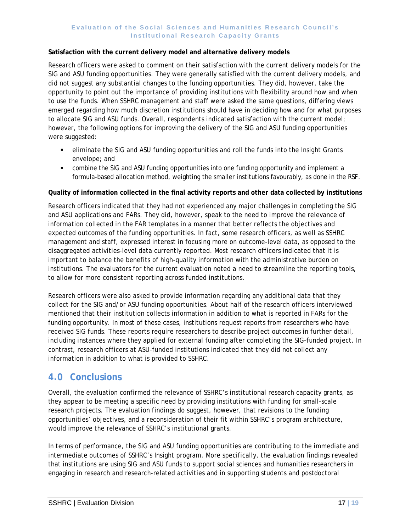#### **Satisfaction with the current delivery model and alternative delivery models**

Research officers were asked to comment on their satisfaction with the current delivery models for the SIG and ASU funding opportunities. They were generally satisfied with the current delivery models, and did not suggest any substantial changes to the funding opportunities. They did, however, take the opportunity to point out the importance of providing institutions with flexibility around how and when to use the funds. When SSHRC management and staff were asked the same questions, differing views emerged regarding how much discretion institutions should have in deciding how and for what purposes to allocate SIG and ASU funds. Overall, respondents indicated satisfaction with the current model; however, the following options for improving the delivery of the SIG and ASU funding opportunities were suggested:

- eliminate the SIG and ASU funding opportunities and roll the funds into the Insight Grants envelope; and
- combine the SIG and ASU funding opportunities into one funding opportunity and implement a formula-based allocation method, weighting the smaller institutions favourably, as done in the RSF.

#### **Quality of information collected in the final activity reports and other data collected by institutions**

Research officers indicated that they had not experienced any major challenges in completing the SIG and ASU applications and FARs. They did, however, speak to the need to improve the relevance of information collected in the FAR templates in a manner that better reflects the objectives and expected outcomes of the funding opportunities. In fact, some research officers, as well as SSHRC management and staff, expressed interest in focusing more on outcome-level data, as opposed to the disaggregated activities-level data currently reported. Most research officers indicated that it is important to balance the benefits of high-quality information with the administrative burden on institutions. The evaluators for the current evaluation noted a need to streamline the reporting tools, to allow for more consistent reporting across funded institutions.

Research officers were also asked to provide information regarding any additional data that they collect for the SIG and/or ASU funding opportunities. About half of the research officers interviewed mentioned that their institution collects information in addition to what is reported in FARs for the funding opportunity. In most of these cases, institutions request reports from researchers who have received SIG funds. These reports require researchers to describe project outcomes in further detail, including instances where they applied for external funding after completing the SIG-funded project. In contrast, research officers at ASU-funded institutions indicated that they did not collect any information in addition to what is provided to SSHRC.

## <span id="page-24-0"></span>**4.0 Conclusions**

Overall, the evaluation confirmed the relevance of SSHRC's institutional research capacity grants, as they appear to be meeting a specific need by providing institutions with funding for small-scale research projects. The evaluation findings do suggest, however, that revisions to the funding opportunities' objectives, and a reconsideration of their fit within SSHRC's program architecture, would improve the relevance of SSHRC's institutional grants.

In terms of performance, the SIG and ASU funding opportunities are contributing to the immediate and intermediate outcomes of SSHRC's Insight program. More specifically, the evaluation findings revealed that institutions are using SIG and ASU funds to support social sciences and humanities researchers in engaging in research and research-related activities and in supporting students and postdoctoral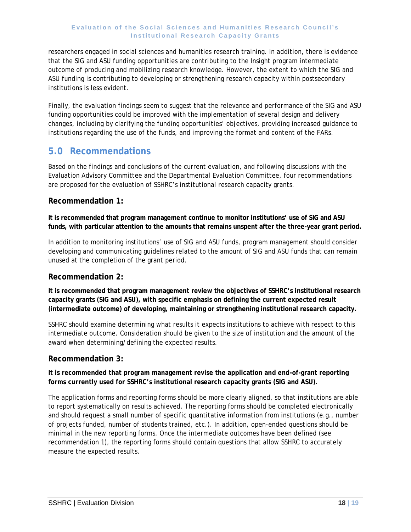researchers engaged in social sciences and humanities research training. In addition, there is evidence that the SIG and ASU funding opportunities are contributing to the Insight program intermediate outcome of producing and mobilizing research knowledge. However, the extent to which the SIG and ASU funding is contributing to developing or strengthening research capacity within postsecondary institutions is less evident.

Finally, the evaluation findings seem to suggest that the relevance and performance of the SIG and ASU funding opportunities could be improved with the implementation of several design and delivery changes, including by clarifying the funding opportunities' objectives, providing increased guidance to institutions regarding the use of the funds, and improving the format and content of the FARs.

## <span id="page-25-0"></span>**5.0 Recommendations**

Based on the findings and conclusions of the current evaluation, and following discussions with the Evaluation Advisory Committee and the Departmental Evaluation Committee, four recommendations are proposed for the evaluation of SSHRC's institutional research capacity grants.

### **Recommendation 1:**

**It is recommended that program management continue to monitor institutions' use of SIG and ASU funds, with particular attention to the amounts that remains unspent after the three-year grant period.**

In addition to monitoring institutions' use of SIG and ASU funds, program management should consider developing and communicating guidelines related to the amount of SIG and ASU funds that can remain unused at the completion of the grant period.

### **Recommendation 2:**

**It is recommended that program management review the objectives of SSHRC's institutional research capacity grants (SIG and ASU), with specific emphasis on defining the current expected result (intermediate outcome) of developing, maintaining or strengthening institutional research capacity.**

SSHRC should examine determining what results it expects institutions to achieve with respect to this intermediate outcome. Consideration should be given to the size of institution and the amount of the award when determining/defining the expected results.

#### **Recommendation 3:**

**It is recommended that program management revise the application and end-of-grant reporting forms currently used for SSHRC's institutional research capacity grants (SIG and ASU).** 

The application forms and reporting forms should be more clearly aligned, so that institutions are able to report systematically on results achieved. The reporting forms should be completed electronically and should request a small number of specific quantitative information from institutions (e.g., number of projects funded, number of students trained, etc.). In addition, open-ended questions should be minimal in the new reporting forms. Once the intermediate outcomes have been defined (see recommendation 1), the reporting forms should contain questions that allow SSHRC to accurately measure the expected results.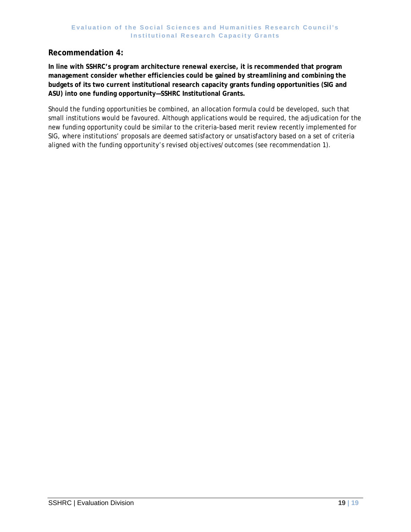#### **Recommendation 4:**

**In line with SSHRC's program architecture renewal exercise, it is recommended that program management consider whether efficiencies could be gained by streamlining and combining the budgets of its two current institutional research capacity grants funding opportunities (SIG and ASU) into one funding opportunity—SSHRC Institutional Grants.** 

Should the funding opportunities be combined, an allocation formula could be developed, such that small institutions would be favoured. Although applications would be required, the adjudication for the new funding opportunity could be similar to the criteria-based merit review recently implemented for SIG, where institutions' proposals are deemed satisfactory or unsatisfactory based on a set of criteria aligned with the funding opportunity's revised objectives/outcomes (see recommendation 1).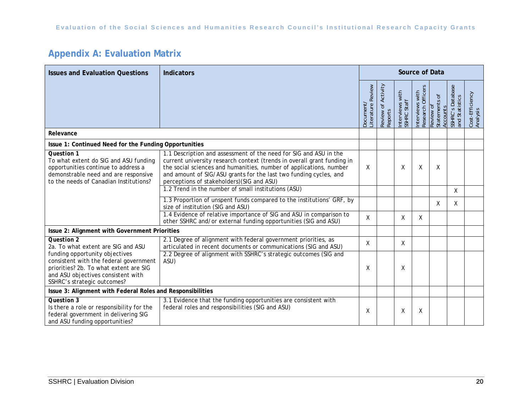# **Appendix A: Evaluation Matrix**

| <b>Issues and Evaluation Questions</b>                                                                                                                                                  | <b>Indicators</b>                                                                                                                                                                                                                                                                                                                     | Source of Data                |                                         |                                |                                        |                                        |                                             |                             |
|-----------------------------------------------------------------------------------------------------------------------------------------------------------------------------------------|---------------------------------------------------------------------------------------------------------------------------------------------------------------------------------------------------------------------------------------------------------------------------------------------------------------------------------------|-------------------------------|-----------------------------------------|--------------------------------|----------------------------------------|----------------------------------------|---------------------------------------------|-----------------------------|
|                                                                                                                                                                                         |                                                                                                                                                                                                                                                                                                                                       | .iterature Review<br>Jocument | Activity<br>Review of<br><b>Reports</b> | Interviews with<br>SSHRC Staff | Research Officers<br>with<br>nterviews | statements of<br>Review of<br>Accounts | Database<br>SSHRC's Datab<br>and Statistics | Cost-Efficiency<br>Analysis |
| Relevance                                                                                                                                                                               |                                                                                                                                                                                                                                                                                                                                       |                               |                                         |                                |                                        |                                        |                                             |                             |
| Issue 1: Continued Need for the Funding Opportunities                                                                                                                                   |                                                                                                                                                                                                                                                                                                                                       |                               |                                         |                                |                                        |                                        |                                             |                             |
| <b>Question 1</b><br>To what extent do SIG and ASU funding<br>opportunities continue to address a<br>demonstrable need and are responsive<br>to the needs of Canadian Institutions?     | 1.1 Description and assessment of the need for SIG and ASU in the<br>current university research context (trends in overall grant funding in<br>the social sciences and humanities, number of applications, number<br>and amount of SIG/ASU grants for the last two funding cycles, and<br>perceptions of stakeholders) (SIG and ASU) | Χ                             |                                         | Χ                              | Χ                                      | Χ                                      |                                             |                             |
|                                                                                                                                                                                         | 1.2 Trend in the number of small institutions (ASU)                                                                                                                                                                                                                                                                                   |                               |                                         |                                |                                        |                                        | Χ                                           |                             |
|                                                                                                                                                                                         | 1.3 Proportion of unspent funds compared to the institutions' GRF, by<br>size of institution (SIG and ASU)                                                                                                                                                                                                                            |                               |                                         |                                |                                        | X                                      | X                                           |                             |
|                                                                                                                                                                                         | 1.4 Evidence of relative importance of SIG and ASU in comparison to<br>other SSHRC and/or external funding opportunities (SIG and ASU)                                                                                                                                                                                                | X                             |                                         | X                              | X                                      |                                        |                                             |                             |
| Issue 2: Alignment with Government Priorities                                                                                                                                           |                                                                                                                                                                                                                                                                                                                                       |                               |                                         |                                |                                        |                                        |                                             |                             |
| Question 2<br>2a. To what extent are SIG and ASU                                                                                                                                        | 2.1 Degree of alignment with federal government priorities, as<br>articulated in recent documents or communications (SIG and ASU)                                                                                                                                                                                                     | X                             |                                         | X                              |                                        |                                        |                                             |                             |
| funding opportunity objectives<br>consistent with the federal government<br>priorities? 2b. To what extent are SIG<br>and ASU objectives consistent with<br>SSHRC's strategic outcomes? | 2.2 Degree of alignment with SSHRC's strategic outcomes (SIG and<br>ASU)                                                                                                                                                                                                                                                              | Χ                             |                                         | Χ                              |                                        |                                        |                                             |                             |
| Issue 3: Alignment with Federal Roles and Responsibilities                                                                                                                              |                                                                                                                                                                                                                                                                                                                                       |                               |                                         |                                |                                        |                                        |                                             |                             |
| Question 3<br>Is there a role or responsibility for the<br>federal government in delivering SIG<br>and ASU funding opportunities?                                                       | 3.1 Evidence that the funding opportunities are consistent with<br>federal roles and responsibilities (SIG and ASU)                                                                                                                                                                                                                   | X                             |                                         | X                              | Χ                                      |                                        |                                             |                             |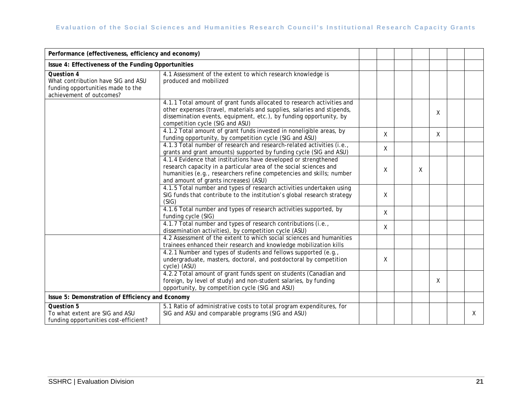| Performance (effectiveness, efficiency and economy)                                                                      |                                                                                                                                                                                                                                                           |              |   |   |   |
|--------------------------------------------------------------------------------------------------------------------------|-----------------------------------------------------------------------------------------------------------------------------------------------------------------------------------------------------------------------------------------------------------|--------------|---|---|---|
| Issue 4: Effectiveness of the Funding Opportunities                                                                      |                                                                                                                                                                                                                                                           |              |   |   |   |
| <b>Question 4</b><br>What contribution have SIG and ASU<br>funding opportunities made to the<br>achievement of outcomes? | 4.1 Assessment of the extent to which research knowledge is<br>produced and mobilized                                                                                                                                                                     |              |   |   |   |
|                                                                                                                          | 4.1.1 Total amount of grant funds allocated to research activities and<br>other expenses (travel, materials and supplies, salaries and stipends,<br>dissemination events, equipment, etc.), by funding opportunity, by<br>competition cycle (SIG and ASU) |              |   | X |   |
|                                                                                                                          | 4.1.2 Total amount of grant funds invested in noneligible areas, by<br>funding opportunity, by competition cycle (SIG and ASU)                                                                                                                            | X            |   | X |   |
|                                                                                                                          | 4.1.3 Total number of research and research-related activities (i.e.,<br>grants and grant amounts) supported by funding cycle (SIG and ASU)                                                                                                               | X            |   |   |   |
|                                                                                                                          | 4.1.4 Evidence that institutions have developed or strengthened<br>research capacity in a particular area of the social sciences and<br>humanities (e.g., researchers refine competencies and skills; number<br>and amount of grants increases) (ASU)     | X            | X |   |   |
|                                                                                                                          | 4.1.5 Total number and types of research activities undertaken using<br>SIG funds that contribute to the institution's global research strategy<br>(SIG)                                                                                                  | X            |   |   |   |
|                                                                                                                          | 4.1.6 Total number and types of research activities supported, by<br>funding cycle (SIG)                                                                                                                                                                  | $\mathsf{X}$ |   |   |   |
|                                                                                                                          | 4.1.7 Total number and types of research contributions (i.e.,<br>dissemination activities), by competition cycle (ASU)                                                                                                                                    | X            |   |   |   |
|                                                                                                                          | 4.2 Assessment of the extent to which social sciences and humanities<br>trainees enhanced their research and knowledge mobilization kills                                                                                                                 |              |   |   |   |
|                                                                                                                          | 4.2.1 Number and types of students and fellows supported (e.g.,<br>undergraduate, masters, doctoral, and postdoctoral by competition<br>cycle) (ASU)                                                                                                      | X            |   |   |   |
|                                                                                                                          | 4.2.2 Total amount of grant funds spent on students (Canadian and<br>foreign, by level of study) and non-student salaries, by funding<br>opportunity, by competition cycle (SIG and ASU)                                                                  |              |   | X |   |
| Issue 5: Demonstration of Efficiency and Economy                                                                         |                                                                                                                                                                                                                                                           |              |   |   |   |
| <b>Question 5</b><br>To what extent are SIG and ASU<br>funding opportunities cost-efficient?                             | 5.1 Ratio of administrative costs to total program expenditures, for<br>SIG and ASU and comparable programs (SIG and ASU)                                                                                                                                 |              |   |   | X |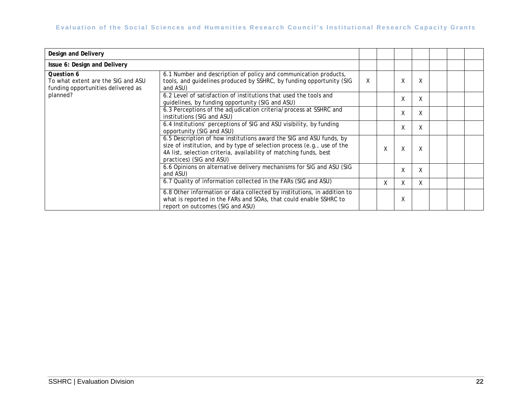| Design and Delivery                                                                    |                                                                                                                                                                                                                                                 |   |   |             |   |  |  |
|----------------------------------------------------------------------------------------|-------------------------------------------------------------------------------------------------------------------------------------------------------------------------------------------------------------------------------------------------|---|---|-------------|---|--|--|
| Issue 6: Design and Delivery                                                           |                                                                                                                                                                                                                                                 |   |   |             |   |  |  |
| Question 6<br>To what extent are the SIG and ASU<br>funding opportunities delivered as | 6.1 Number and description of policy and communication products,<br>tools, and guidelines produced by SSHRC, by funding opportunity (SIG<br>and ASU)                                                                                            | X |   | $\vee$<br>v | X |  |  |
| planned?                                                                               | 6.2 Level of satisfaction of institutions that used the tools and<br>quidelines, by funding opportunity (SIG and ASU)                                                                                                                           |   |   | v           | X |  |  |
|                                                                                        | 6.3 Perceptions of the adjudication criteria/process at SSHRC and<br>institutions (SIG and ASU)                                                                                                                                                 |   |   | Χ           | X |  |  |
|                                                                                        | 6.4 Institutions' perceptions of SIG and ASU visibility, by funding<br>opportunity (SIG and ASU)                                                                                                                                                |   |   | X           | X |  |  |
|                                                                                        | 6.5 Description of how institutions award the SIG and ASU funds, by<br>size of institution, and by type of selection process (e.g., use of the<br>4A list, selection criteria, availability of matching funds, best<br>practices) (SIG and ASU) |   | χ | Χ           | Χ |  |  |
|                                                                                        | 6.6 Opinions on alternative delivery mechanisms for SIG and ASU (SIG<br>and ASU)                                                                                                                                                                |   |   | v<br>v      | X |  |  |
|                                                                                        | 6.7 Quality of information collected in the FARs (SIG and ASU)                                                                                                                                                                                  |   | X | X           | X |  |  |
|                                                                                        | 6.8 Other information or data collected by institutions, in addition to<br>what is reported in the FARs and SOAs, that could enable SSHRC to<br>report on outcomes (SIG and ASU)                                                                |   |   | v           |   |  |  |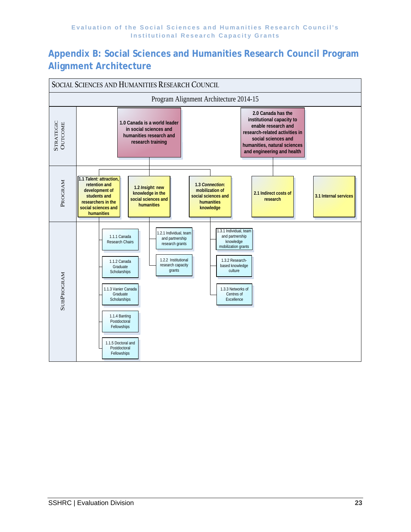## **Appendix B: Social Sciences and Humanities Research Council Program Alignment Architecture**

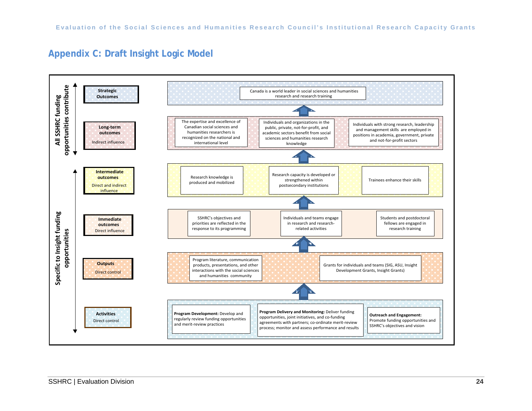## **Appendix C: Draft Insight Logic Model**

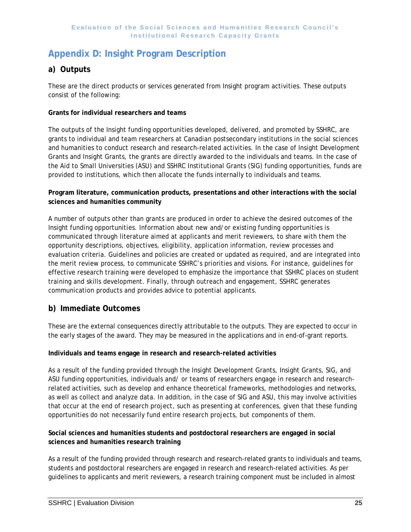## **Appendix D: Insight Program Description**

### **a) Outputs**

These are the direct products or services generated from Insight program activities. These outputs consist of the following:

### **Grants for individual researchers and teams**

The outputs of the Insight funding opportunities developed, delivered, and promoted by SSHRC, are grants to individual and team researchers at Canadian postsecondary institutions in the social sciences and humanities to conduct research and research-related activities. In the case of Insight Development Grants and Insight Grants, the grants are directly awarded to the individuals and teams. In the case of the Aid to Small Universities (ASU) and SSHRC Institutional Grants (SIG) funding opportunities, funds are provided to institutions, which then allocate the funds internally to individuals and teams.

#### **Program literature, communication products, presentations and other interactions with the social sciences and humanities community**

A number of outputs other than grants are produced in order to achieve the desired outcomes of the Insight funding opportunities. Information about new and/or existing funding opportunities is communicated through literature aimed at applicants and merit reviewers, to share with them the opportunity descriptions, objectives, eligibility, application information, review processes and evaluation criteria. Guidelines and policies are created or updated as required, and are integrated into the merit review process, to communicate SSHRC's priorities and visions. For instance, guidelines for effective research training were developed to emphasize the importance that SSHRC places on student training and skills development. Finally, through outreach and engagement, SSHRC generates communication products and provides advice to potential applicants.

### **b) Immediate Outcomes**

These are the external consequences directly attributable to the outputs. They are expected to occur in the early stages of the award. They may be measured in the applications and in end-of-grant reports.

#### **Individuals and teams engage in research and research-related activities**

As a result of the funding provided through the Insight Development Grants, Insight Grants, SIG, and ASU funding opportunities, individuals and/ or teams of researchers engage in research and researchrelated activities, such as develop and enhance theoretical frameworks, methodologies and networks, as well as collect and analyze data. In addition, in the case of SIG and ASU, this may involve activities that occur at the end of research project, such as presenting at conferences, given that these funding opportunities do not necessarily fund entire research projects, but components of them.

#### **Social sciences and humanities students and postdoctoral researchers are engaged in social sciences and humanities research training**

As a result of the funding provided through research and research-related grants to individuals and teams, students and postdoctoral researchers are engaged in research and research-related activities. As per guidelines to applicants and merit reviewers, a research training component must be included in almost